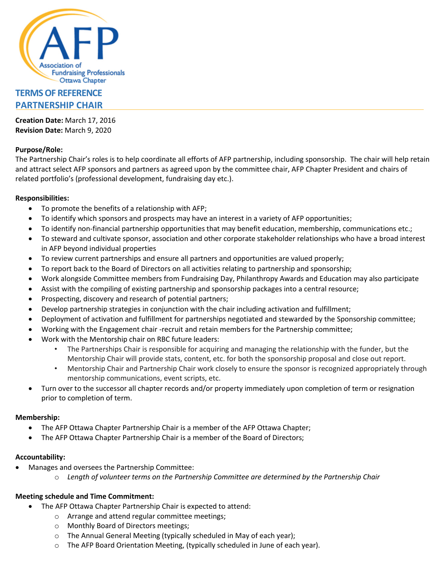

# **TERMS OF REFERENCE PARTNERSHIP CHAIR**

**Creation Date:** March 17, 2016 **Revision Date:** March 9, 2020

## **Purpose/Role:**

The Partnership Chair's roles is to help coordinate all efforts of AFP partnership, including sponsorship. The chair will help retain and attract select AFP sponsors and partners as agreed upon by the committee chair, AFP Chapter President and chairs of related portfolio's (professional development, fundraising day etc.).

### **Responsibilities:**

- To promote the benefits of a relationship with AFP;
- To identify which sponsors and prospects may have an interest in a variety of AFP opportunities;
- To identify non-financial partnership opportunities that may benefit education, membership, communications etc.;
- To steward and cultivate sponsor, association and other corporate stakeholder relationships who have a broad interest in AFP beyond individual properties
- To review current partnerships and ensure all partners and opportunities are valued properly;
- To report back to the Board of Directors on all activities relating to partnership and sponsorship;
- Work alongside Committee members from Fundraising Day, Philanthropy Awards and Education may also participate
- Assist with the compiling of existing partnership and sponsorship packages into a central resource;
- Prospecting, discovery and research of potential partners;
- Develop partnership strategies in conjunction with the chair including activation and fulfillment;
- Deployment of activation and fulfillment for partnerships negotiated and stewarded by the Sponsorship committee;
- Working with the Engagement chair -recruit and retain members for the Partnership committee;
- Work with the Mentorship chair on RBC future leaders:
	- The Partnerships Chair is responsible for acquiring and managing the relationship with the funder, but the Mentorship Chair will provide stats, content, etc. for both the sponsorship proposal and close out report.
	- Mentorship Chair and Partnership Chair work closely to ensure the sponsor is recognized appropriately through mentorship communications, event scripts, etc.
- Turn over to the successor all chapter records and/or property immediately upon completion of term or resignation prior to completion of term.

#### **Membership:**

- The AFP Ottawa Chapter Partnership Chair is a member of the AFP Ottawa Chapter;
- The AFP Ottawa Chapter Partnership Chair is a member of the Board of Directors;

#### **Accountability:**

- Manages and oversees the Partnership Committee:
	- o *Length of volunteer terms on the Partnership Committee are determined by the Partnership Chair*

## **Meeting schedule and Time Commitment:**

- The AFP Ottawa Chapter Partnership Chair is expected to attend:
	- o Arrange and attend regular committee meetings;
	- o Monthly Board of Directors meetings;
	- o The Annual General Meeting (typically scheduled in May of each year);
	- o The AFP Board Orientation Meeting, (typically scheduled in June of each year).